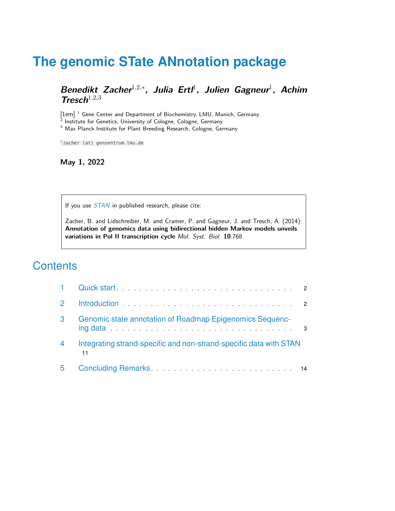# **The genomic STate ANnotation package**

**Benedikt Zacher<sup>1,2,∗</sup>, Julia Ertl<sup>1</sup>, Julien Gagneur<sup>1</sup>, Achim Tresch**<sup>1</sup>,2,<sup>3</sup>

[1em]<sup>1</sup> Gene Center and Department of Biochemistry, LMU, Munich, Germany Institute for Genetics, University of Cologne, Cologne, Germany <sup>3</sup> Max Planck Institute for Plant Breeding Research, Cologne, Germany

∗ zacher (at) genzentrum.lmu.de

### **May 1, 2022**

If you use  $STAN$  in published research, please cite:

Zacher, B. and Lidschreiber, M. and Cramer, P. and Gagneur, J. and Tresch, A. (2014): **Annotation of genomics data using bidirectional hidden Markov models unveils variations in Pol II transcription cycle** Mol. Syst. Biol. **10**:768

## **Contents**

| 3 | Genomic state annotation of Roadmap Epigenomics Sequenc-                 |  |
|---|--------------------------------------------------------------------------|--|
| 4 | Integrating strand-specific and non-strand-specific data with STAN<br>11 |  |
| 5 |                                                                          |  |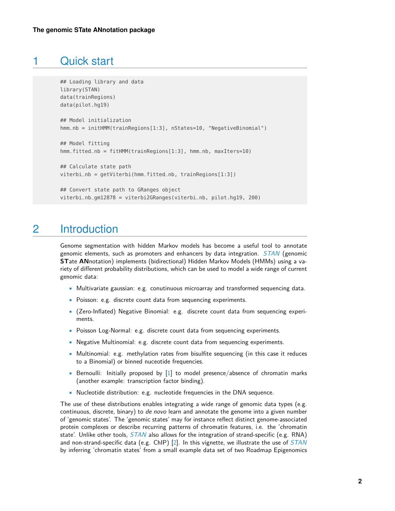### 1 Quick start

```
## Loading library and data
library(STAN)
data(trainRegions)
data(pilot.hg19)
## Model initialization
hmm_nb = initHMM(trainRegions[1:3], nStates=10, "NegativeBinomial")
## Model fitting
hmm_fitted_nb = fitHMM(trainRegions[1:3], hmm_nb, maxIters=10)
## Calculate state path
viterbi_nb = getViterbi(hmm_fitted_nb, trainRegions[1:3])
## Convert state path to GRanges object
viterbi_nb_gm12878 = viterbi2GRanges(viterbi_nb, pilot.hg19, 200)
```
# <span id="page-1-1"></span>2 Introduction

Genome segmentation with hidden Markov models has become a useful tool to annotate genomic elements, such as promoters and enhancers by data integration.  $STAN$  (genomic **ST**ate **AN**notation) implements (bidirectional) Hidden Markov Models (HMMs) using a variety of different probability distributions, which can be used to model a wide range of current genomic data:

- Multivariate gaussian: e.g. conutinuous microarray and transformed sequencing data.
- Poisson: e.g. discrete count data from sequencing experiments.
- (Zero-Inflated) Negative Binomial: e.g. discrete count data from sequencing experiments.
- Poisson Log-Normal: e.g. discrete count data from sequencing experiments.
- Negative Multinomial: e.g. discrete count data from sequencing experiments.
- Multinomial: e.g. methylation rates from bisulfite sequencing (in this case it reduces to a Binomial) or binned nuceotide frequencies.
- Bernoulli: Initially proposed by [\[1\]](#page-15-0) to model presence/absence of chromatin marks (another example: transcription factor binding).
- Nucleotide distribution: e.g. nucleotide frequencies in the DNA sequence.

The use of these distributions enables integrating a wide range of genomic data types (e.g. continuous, discrete, binary) to *de novo* learn and annotate the genome into a given number of 'genomic states'. The 'genomic states' may for instance reflect distinct genome-associated protein complexes or describe recurring patterns of chromatin features, i.e. the 'chromatin state'. Unlike other tools,  $STAN$  also allows for the integration of strand-specific (e.g. RNA) and non-strand-specific data (e.g. ChIP) [\[2\]](#page-15-1). In this vignette, we illustrate the use of  $STAN$ by inferring 'chromatin states' from a small example data set of two Roadmap Epigenomics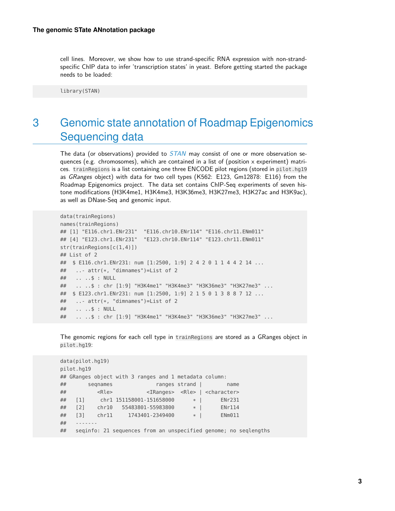cell lines. Moreover, we show how to use strand-specific RNA expression with non-strandspecific ChIP data to infer 'transcription states' in yeast. Before getting started the package needs to be loaded:

<span id="page-2-0"></span>library(STAN)

# 3 Genomic state annotation of Roadmap Epigenomics Sequencing data

The data (or observations) provided to  $STAN$  may consist of one or more observation sequences (e.g. chromosomes), which are contained in a list of (position x experiment) matrices. trainRegions is a list containing one three ENCODE pilot regions (stored in pilot.hg19 as GRanges object) with data for two cell types (K562: E123, Gm12878: E116) from the Roadmap Epigenomics project. The data set contains ChIP-Seq experiments of seven histone modifications (H3K4me1, H3K4me3, H3K36me3, H3K27me3, H3K27ac and H3K9ac), as well as DNase-Seq and genomic input.

```
data(trainRegions)
names(trainRegions)
## [1] "E116.chr1.ENr231" "E116.chr10.ENr114" "E116.chr11.ENm011"
## [4] "E123.chr1.ENr231" "E123.chr10.ENr114" "E123.chr11.ENm011"
str(trainRegions[c(1,4)])
## List of 2
## $ E116.chr1.ENr231: num [1:2500, 1:9] 2 4 2 0 1 1 4 4 2 14 ...
## ..- attr(*, "dimnames")=List of 2
## .. ..$ : NULL
## .. ..$ : chr [1:9] "H3K4me1" "H3K4me3" "H3K36me3" "H3K27me3" ...
## $ E123.chr1.ENr231: num [1:2500, 1:9] 2 1 5 0 1 3 8 8 7 12 ...
## ..- attr(*, "dimnames")=List of 2
## .. ..$ : NULL
## .. ..$ : chr [1:9] "H3K4me1" "H3K4me3" "H3K36me3" "H3K27me3" ...
```
The genomic regions for each cell type in trainRegions are stored as a GRanges object in pilot.hg19:

```
data(pilot.hg19)
pilot.hg19
## GRanges object with 3 ranges and 1 metadata column:
## seqnames ranges strand | name
## <Rle> <IRanges> <Rle> | <character>
## [1] chr1 151158001-151658000 * | ENr231
## [2] chr10 55483801-55983800 * | ENr114
## [3] chr11 1743401-2349400 * | ENm011
#### seqinfo: 21 sequences from an unspecified genome; no seqlengths
```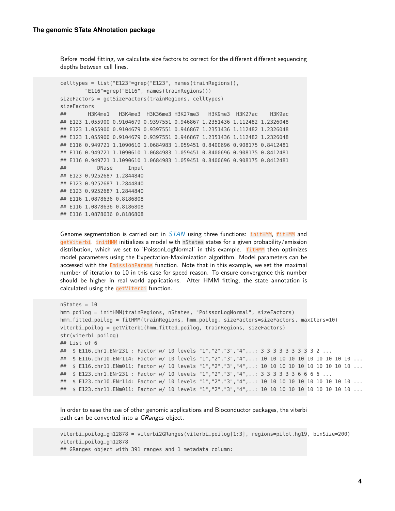Before model fitting, we calculate size factors to correct for the different different sequencing depths between cell lines.

```
celltypes = list("E123"=grep("E123", names(trainRegions)),
        "E116"=grep("E116", names(trainRegions)))
sizeFactors = getSizeFactors(trainRegions, celltypes)
sizeFactors
## H3K4me1 H3K4me3 H3K36me3 H3K27me3 H3K9me3 H3K27ac H3K9ac
## E123 1.055900 0.9104679 0.9397551 0.946867 1.2351436 1.112482 1.2326048
## E123 1.055900 0.9104679 0.9397551 0.946867 1.2351436 1.112482 1.2326048
## E123 1.055900 0.9104679 0.9397551 0.946867 1.2351436 1.112482 1.2326048
## E116 0.949721 1.1090610 1.0684983 1.059451 0.8400696 0.908175 0.8412481
## E116 0.949721 1.1090610 1.0684983 1.059451 0.8400696 0.908175 0.8412481
## E116 0.949721 1.1090610 1.0684983 1.059451 0.8400696 0.908175 0.8412481
## DNase Input
## E123 0.9252687 1.2844840
## E123 0.9252687 1.2844840
## E123 0.9252687 1.2844840
## E116 1.0878636 0.8186808
## E116 1.0878636 0.8186808
## E116 1.0878636 0.8186808
```
Genome segmentation is carried out in  $STAN$  using three functions: initHMM, fitHMM and getViterbi. initHMM initializes a model with nStates states for a given probability/emission distribution, which we set to 'PoissonLogNormal' in this example. **fitHMM** then optimizes model parameters using the Expectation-Maximization algorithm. Model parameters can be accessed with the EmissionParams function. Note that in this example, we set the maximal number of iteration to 10 in this case for speed reason. To ensure convergence this number should be higher in real world applications. After HMM fitting, the state annotation is calculated using the getViterbi function.

```
nStates = 10
hmm_poilog = initHMM(trainRegions, nStates, "PoissonLogNormal", sizeFactors)
hmm_fitted_poilog = fitHMM(trainRegions, hmm_poilog, sizeFactors=sizeFactors, maxIters=10)
viterbi_poilog = getViterbi(hmm_fitted_poilog, trainRegions, sizeFactors)
str(viterbi_poilog)
## List of 6
## $ E116.chr1.ENr231 : Factor w/ 10 levels "1","2","3","4",..: 3 3 3 3 3 3 3 3 3 2 ...
## $ E116.chr10.ENr114: Factor w/ 10 levels "1","2","3","4",..: 10 10 10 10 10 10 10 10 10 10 ...
## $ E116.chr11.ENm011: Factor w/ 10 levels "1","2","3","4",..: 10 10 10 10 10 10 10 10 10 10 ...
## $ E123.chr1.ENr231 : Factor w/ 10 levels "1", "2", "3", "4",..: 3 3 3 3 3 3 6 6 6 6 ...
## $ E123.chr10.ENr114: Factor w/ 10 levels "1","2","3","4",..: 10 10 10 10 10 10 10 10 10 10 ...
## $ E123.chr11.ENm011: Factor w/ 10 levels "1","2","3","4",..: 10 10 10 10 10 10 10 10 10 10 ...
```
In order to ease the use of other genomic applications and Bioconductor packages, the viterbi path can be converted into a GRanges object.

```
viterbi_poilog_gm12878 = viterbi2GRanges(viterbi_poilog[1:3], regions=pilot.hg19, binSize=200)
viterbi_poilog_gm12878
## GRanges object with 391 ranges and 1 metadata column:
```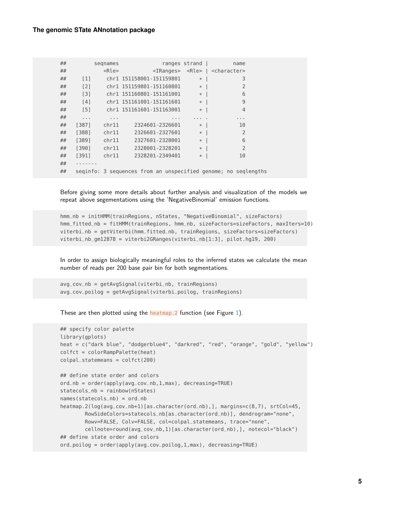#### **The genomic STate ANnotation package**

| ## |                                                                | segnames    |                          | ranges strand | name                                                      |  |  |  |  |
|----|----------------------------------------------------------------|-------------|--------------------------|---------------|-----------------------------------------------------------|--|--|--|--|
| ## |                                                                | <rle></rle> |                          |               | <iranges> <rle>   <character></character></rle></iranges> |  |  |  |  |
| ## | $\lceil 1 \rceil$                                              |             | chrl 151158001-151159801 | $\ast$        | 3                                                         |  |  |  |  |
| ## | $\lceil 2 \rceil$                                              |             | chrl 151159801-151160801 | $*$           | $\overline{2}$                                            |  |  |  |  |
| ## | [3]                                                            |             | chrl 151160801-151161001 | $*-1$         | 6                                                         |  |  |  |  |
| ## | [4]                                                            |             | chrl 151161001-151161601 | $*$           | 9                                                         |  |  |  |  |
| ## | [5]                                                            |             | chr1 151161601-151163001 | $*$           | $\overline{4}$                                            |  |  |  |  |
| ## | $\sim$ $\sim$ $\sim$                                           | $\cdots$    | $\cdots$                 |               | $\cdots$                                                  |  |  |  |  |
| ## | [387]                                                          | chr11       | 2324601-2326601          | $*$           | 10                                                        |  |  |  |  |
| ## | [388]                                                          | chr11       | 2326601-2327601          | $*$           | $\overline{2}$                                            |  |  |  |  |
| ## | [389]                                                          | chr11       | 2327601-2328001          | $*$           | 6                                                         |  |  |  |  |
| ## | [390]                                                          | chr11       | 2328001-2328201          | $*$           | $\overline{2}$                                            |  |  |  |  |
| ## | [391]                                                          | chr11       | 2328201-2349401          | $*$           | 10                                                        |  |  |  |  |
| ## |                                                                |             |                          |               |                                                           |  |  |  |  |
| ## | seginfo: 3 sequences from an unspecified genome; no seglengths |             |                          |               |                                                           |  |  |  |  |

Before giving some more details about further analysis and visualization of the models we repeat above segementations using the 'NegativeBinomial' emission functions.

```
hmm_nb = initHMM(trainRegions, nStates, "NegativeBinomial", sizeFactors)
hmm_fitted_nb = fitHMM(trainRegions, hmm_nb, sizeFactors=sizeFactors, maxIters=10)
viterbi_nb = getViterbi(hmm_fitted_nb, trainRegions, sizeFactors=sizeFactors)
viterbi_nb_gm12878 = viterbi2GRanges(viterbi_nb[1:3], pilot.hg19, 200)
```
In order to assign biologically meaningful roles to the inferred states we calculate the mean number of reads per 200 base pair bin for both segmentations.

```
avg_cov_nb = getAvgSignal(viterbi_nb, trainRegions)
avg_cov_poilog = getAvgSignal(viterbi_poilog, trainRegions)
```
These are then plotted using the heatmap. 2 function (see Figure [1\)](#page-5-0).

```
## specify color palette
library(gplots)
heat = c("dark blue", "dodgerblue4", "darkred", "red", "orange", "gold", "yellow")
colfct = colorRampPalette(heat)
colpal_statemeans = colfct(200)
## define state order and colors
ord_nb = order(apply(avg_cov_nb,1,max), decreasing=TRUE)
statecols_nb = rainbow(nStates)
names(statecols_nb) = ord_nb
heatmap.2(log(avg_cov_nb+1)[as.character(ord_nb),], margins=c(8,7), srtCol=45,
        RowSideColors=statecols_nb[as.character(ord_nb)], dendrogram="none",
        Rowv=FALSE, Colv=FALSE, col=colpal_statemeans, trace="none",
        cellnote=round(avg_cov_nb,1)[as.character(ord_nb),], notecol="black")
## define state order and colors
ord_poilog = order(apply(avg_cov_poilog,1,max), decreasing=TRUE)
```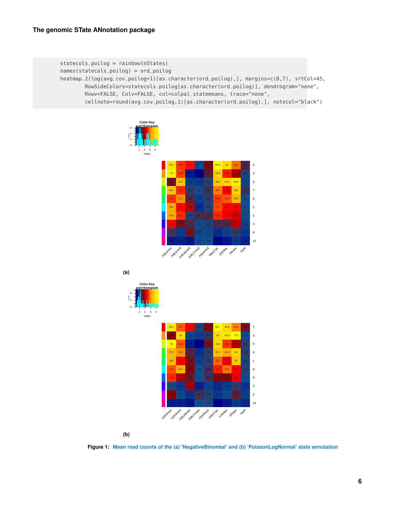```
statecols_poilog = rainbow(nStates)
names(statecols_poilog) = ord_poilog
heatmap.2(log(avg_cov_poilog+1)[as.character(ord_poilog),], margins=c(8,7), srtCol=45,
       RowSideColors=statecols_poilog[as.character(ord_poilog)], dendrogram="none",
       Rowv=FALSE, Colv=FALSE, col=colpal_statemeans, trace="none",
        cellnote=round(avg_cov_poilog,1)[as.character(ord_poilog),], notecol="black")
```




**(b)**

**Figure 1: Mean read counts of the (a) 'NegativeBinomial' and (b) 'PoissonLogNormal' state annotation**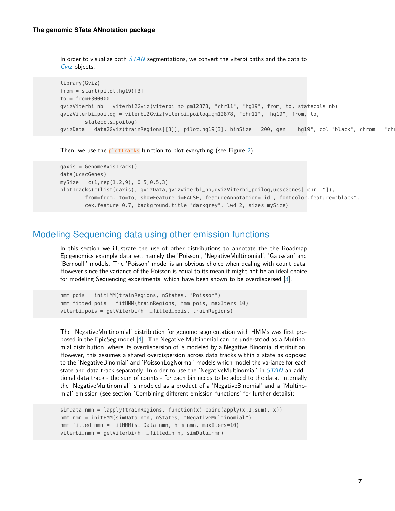In order to visualize both  $STAN$  segmentations, we convert the viterbi paths and the data to [Gviz](http://bioconductor.org/packages/Gviz) objects.

```
library(Gviz)
from = start(pilot.hg19)[3]to = from+300000
gvizViterbi_nb = viterbi2Gviz(viterbi_nb_gm12878, "chr11", "hg19", from, to, statecols_nb)
gvizViterbi_poilog = viterbi2Gviz(viterbi_poilog_gm12878, "chr11", "hg19", from, to,
        statecols_poilog)
gvizData = data2Gviz(trainRegions[[3]], pilot.hg19[3], binSize = 200, gen = "hg19", col="black", chrom = "ch
```
Then, we use the plotTracks function to plot everything (see Figure [2\)](#page-7-0).

```
gaxis = GenomeAxisTrack()
data(ucscGenes)
mySize = c(1, rep(1.2, 9), 0.5, 0.5, 3)plotTracks(c(list(gaxis), gvizData,gvizViterbi_nb,gvizViterbi_poilog,ucscGenes["chr11"]),
        from=from, to=to, showFeatureId=FALSE, featureAnnotation="id", fontcolor.feature="black",
        cex.feature=0.7, background.title="darkgrey", lwd=2, sizes=mySize)
```
### Modeling Sequencing data using other emission functions

In this section we illustrate the use of other distributions to annotate the the Roadmap Epigenomics example data set, namely the 'Poisson', 'NegativeMultinomial', 'Gaussian' and 'Bernoulli' models. The 'Poisson' model is an obvious choice when dealing with count data. However since the variance of the Poisson is equal to its mean it might not be an ideal choice for modeling Sequencing experiments, which have been shown to be overdispersed [\[3\]](#page-15-2).

```
hmm_pois = initHMM(trainRegions, nStates, "Poisson")
hmm_fitted_pois = fitHMM(trainRegions, hmm_pois, maxIters=10)
viterbi_pois = getViterbi(hmm_fitted_pois, trainRegions)
```
The 'NegativeMultinomial' distribution for genome segmentation with HMMs was first proposed in the EpicSeg model [\[4\]](#page-15-3). The Negative Multinomial can be understood as a Multinomial distribution, where its overdispersion of is modeled by a Negative Binomial distribution. However, this assumes a shared overdispersion across data tracks within a state as opposed to the 'NegativeBinomial' and 'PoissonLogNormal' models which model the variance for each state and data track separately. In order to use the 'NegativeMultinomial' in [STAN](http://bioconductor.org/packages/STAN) an additional data track - the sum of counts - for each bin needs to be added to the data. Internally the 'NegativeMultinomial' is modeled as a product of a 'NegativeBinomial' and a 'Multinomial' emission (see section 'Combining different emission functions' for further details):

```
simData_nmn = lapply(trainRegions, function(x) cbind(apply(x,1,sum), x))
hmm_nmn = initHMM(simData_nmn, nStates, "NegativeMultinomial")
hmm_fitted_nmn = fitHMM(simData_nmn, hmm_nmn, maxIters=10)
viterbi_nmn = getViterbi(hmm_fitted_nmn, simData_nmn)
```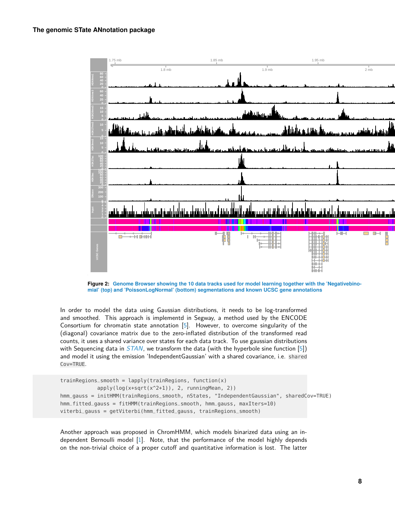<span id="page-7-0"></span>

**Figure 2: Genome Browser showing the 10 data tracks used for model learning together with the 'Negativebinomial' (top) and 'PoissonLogNormal' (bottom) segmentations and known UCSC gene annotations**

In order to model the data using Gaussian distributions, it needs to be log-transformed and smoothed. This approach is implementd in Segway, a method used by the ENCODE Consortium for chromatin state annotation [\[5\]](#page-15-4). However, to overcome singularity of the (diagonal) covariance matrix due to the zero-inflated distribution of the transformed read counts, it uses a shared variance over states for each data track. To use gaussian distributions with Sequencing data in  $STAN$ , we transform the data (with the hyperbole sine function [\[5\]](#page-15-4)) and model it using the emission 'IndependentGaussian' with a shared covariance, i.e. shared Cov=TRUE.

```
trainRegions_smooth = lapply(trainRegions, function(x)
            apply(log(x+sqrt(x^2+1)), 2, runningMean, 2))
hmm_gauss = initHMM(trainRegions_smooth, nStates, "IndependentGaussian", sharedCov=TRUE)
hmm_fitted_gauss = fitHMM(trainRegions_smooth, hmm_gauss, maxIters=10)
viterbi_gauss = getViterbi(hmm_fitted_gauss, trainRegions_smooth)
```
Another approach was proposed in ChromHMM, which models binarized data using an independent Bernoulli model [\[1\]](#page-15-0). Note, that the performance of the model highly depends on the non-trivial choice of a proper cutoff and quantitative information is lost. The latter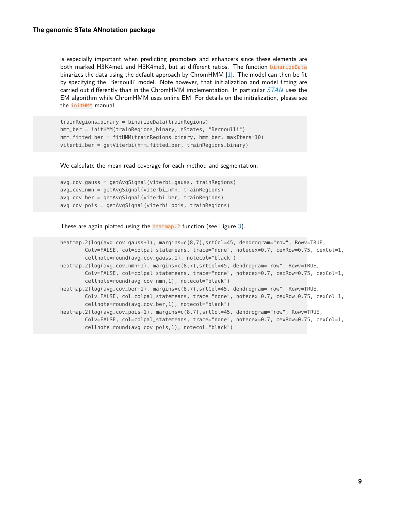is especially important when predicting promoters and enhancers since these elements are both marked H3K4me1 and H3K4me3, but at different ratios. The function binarizeData binarizes the data using the default approach by ChromHMM [\[1\]](#page-15-0). The model can then be fit by specifying the 'Bernoulli' model. Note however, that initialization and model fitting are carried out differently than in the ChromHMM implementation. In particular  $STAN$  uses the EM algorithm while ChromHMM uses online EM. For details on the initialization, please see the initHMM manual.

```
trainRegions_binary = binarizeData(trainRegions)
hmm_ber = initHMM(trainRegions_binary, nStates, "Bernoulli")
hmm_fitted_ber = fitHMM(trainRegions_binary, hmm_ber, maxIters=10)
viterbi_ber = getViterbi(hmm_fitted_ber, trainRegions_binary)
```
We calculate the mean read coverage for each method and segmentation:

```
avg_cov_gauss = getAvgSignal(viterbi_gauss, trainRegions)
avg_cov_nmn = getAvgSignal(viterbi_nmn, trainRegions)
avg_cov_ber = getAvgSignal(viterbi_ber, trainRegions)
avg_cov_pois = getAvgSignal(viterbi_pois, trainRegions)
```
These are again plotted using the heatmap.2 function (see Figure [3\)](#page-9-0).

```
heatmap.2(log(avg_cov_gauss+1), margins=c(8,7),srtCol=45, dendrogram="row", Rowv=TRUE,
        Colv=FALSE, col=colpal_statemeans, trace="none", notecex=0.7, cexRow=0.75, cexCol=1,
        cellnote=round(avg_cov_gauss,1), notecol="black")
heatmap.2(log(avg_cov_nmn+1), margins=c(8,7),srtCol=45, dendrogram="row", Rowv=TRUE,
       Colv=FALSE, col=colpal_statemeans, trace="none", notecex=0.7, cexRow=0.75, cexCol=1,
        cellnote=round(avg_cov_nmn,1), notecol="black")
heatmap.2(log(avg_cov_ber+1), margins=c(8,7),srtCol=45, dendrogram="row", Rowv=TRUE,
        Colv=FALSE, col=colpal_statemeans, trace="none", notecex=0.7, cexRow=0.75, cexCol=1,
        cellnote=round(avg_cov_ber,1), notecol="black")
heatmap.2(log(avg_cov_pois+1), margins=c(8,7),srtCol=45, dendrogram="row", Rowv=TRUE,
       Colv=FALSE, col=colpal_statemeans, trace="none", notecex=0.7, cexRow=0.75, cexCol=1,
        cellnote=round(avg_cov_pois,1), notecol="black")
```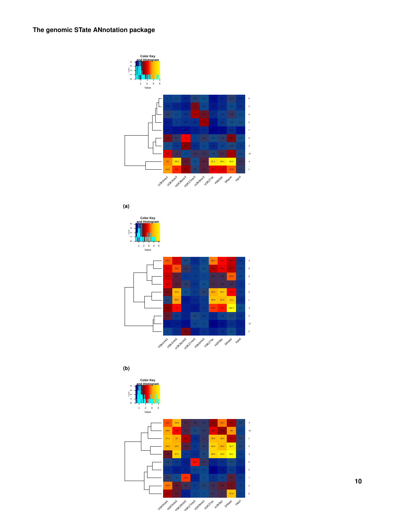<span id="page-9-0"></span>

**(a)**

Count



**(b)**



**10**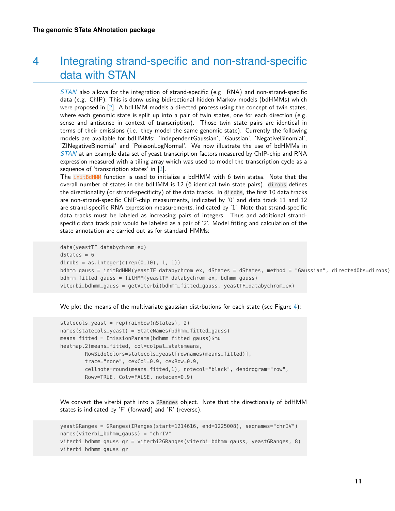# <span id="page-10-0"></span>4 Integrating strand-specific and non-strand-specific data with STAN

[STAN](http://bioconductor.org/packages/STAN) also allows for the integration of strand-specific (e.g. RNA) and non-strand-specific data (e.g. ChIP). This is donw using bidirectional hidden Markov models (bdHMMs) which were proposed in [\[2\]](#page-15-1). A bdHMM models a directed process using the concept of twin states, where each genomic state is split up into a pair of twin states, one for each direction (e.g. sense and antisense in context of transcription). Those twin state pairs are identical in terms of their emissions (i.e. they model the same genomic state). Currently the following models are available for bdHMMs: 'IndependentGaussian', 'Gaussian', 'NegativeBinomial', 'ZINegativeBinomial' and 'PoissonLogNormal'. We now illustrate the use of bdHMMs in [STAN](http://bioconductor.org/packages/STAN) at an example data set of yeast transcription factors measured by ChIP-chip and RNA expression measured with a tiling array which was used to model the transcription cycle as a sequence of 'transcription states' in [\[2\]](#page-15-1).

The initBdHMM function is used to initialize a bdHMM with 6 twin states. Note that the overall number of states in the bdHMM is 12 (6 identical twin state pairs). dirobs defines the directionality (or strand-specificity) of the data tracks. In dirobs, the first 10 data tracks are non-strand-specific ChIP-chip measurments, indicated by '0' and data track 11 and 12 are strand-specific RNA expression measurements, indicated by '1'. Note that strand-specific data tracks must be labeled as increasing pairs of integers. Thus and additional strandspecific data track pair would be labeled as a pair of '2'. Model fitting and calculation of the state annotation are carried out as for standard HMMs:

```
data(yeastTF_databychrom_ex)
dStates = 6dirobs = as.integer(c(rep(0,10), 1, 1))bdhmm_gauss = initBdHMM(yeastTF_databychrom_ex, dStates = dStates, method = "Gaussian", directedObs=dirobs)
bdhmm_fitted_gauss = fitHMM(yeastTF_databychrom_ex, bdhmm_gauss)
viterbi_bdhmm_gauss = getViterbi(bdhmm_fitted_gauss, yeastTF_databychrom_ex)
```
We plot the means of the multivariate gaussian distrbutions for each state (see Figure [4\)](#page-11-0):

```
statecols_yeast = rep(rainbow(nStates), 2)
names(statecols_yeast) = StateNames(bdhmm_fitted_gauss)
means_fitted = EmissionParams(bdhmm_fitted_gauss)$mu
heatmap.2(means_fitted, col=colpal_statemeans,
        RowSideColors=statecols_yeast[rownames(means_fitted)],
        trace="none", cexCol=0.9, cexRow=0.9,
        cellnote=round(means_fitted,1), notecol="black", dendrogram="row",
        Rowv=TRUE, Colv=FALSE, notecex=0.9)
```
We convert the viterbi path into a GRanges object. Note that the directionaliy of bdHMM states is indicated by 'F' (forward) and 'R' (reverse).

```
yeastGRanges = GRanges(IRanges(start=1214616, end=1225008), seqnames="chrIV")
names(viterbi_bdhmm_gauss) = "chrIV"
viterbi_bdhmm_gauss_gr = viterbi2GRanges(viterbi_bdhmm_gauss, yeastGRanges, 8)
viterbi_bdhmm_gauss_gr
```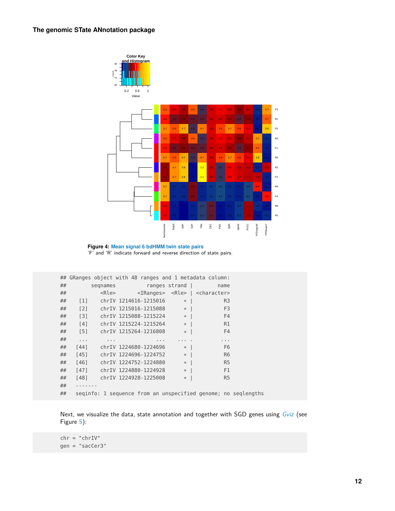<span id="page-11-0"></span>

**Figure 4: Mean signal 6 bdHMM twin state pairs** 'F' and 'R' indicate forward and reverse direction of state pairs.

|    | ## GRanges object with 48 ranges and 1 metadata column: |               |          |                                  |                                                      |                                                                       |                      |                                                               |
|----|---------------------------------------------------------|---------------|----------|----------------------------------|------------------------------------------------------|-----------------------------------------------------------------------|----------------------|---------------------------------------------------------------|
| ## |                                                         |               | segnames |                                  | ranges strand                                        |                                                                       | name                 |                                                               |
| ## |                                                         |               |          |                                  |                                                      | <rle> <iranges> <rle>   <character></character></rle></iranges></rle> |                      |                                                               |
| ## | $\lceil 1 \rceil$                                       |               |          | chrIV 1214616-1215016            | $*$                                                  |                                                                       | R <sub>3</sub>       |                                                               |
| ## | $\lceil 2 \rceil$                                       |               |          | chrIV 1215016-1215088   *        |                                                      |                                                                       | F <sub>3</sub>       |                                                               |
| ## | $\lceil 3 \rceil$                                       |               |          | chrIV $1215088 - 1215224$ *      |                                                      |                                                                       | F4                   |                                                               |
| ## | [4]                                                     |               |          | chrIV 1215224-1215264 *          |                                                      |                                                                       | R1                   |                                                               |
| ## | $[5]$                                                   |               |          | chrIV 1215264-1216808            | $*$                                                  |                                                                       | <b>F4</b>            |                                                               |
| ## | $\sim$ $\sim$ $\sim$                                    | $\sim$ $\sim$ |          | $\sim$ 10 $\pm$                  | $\alpha$ , $\alpha$ , $\alpha$ , $\alpha$ , $\alpha$ |                                                                       | $\sim$ $\sim$ $\sim$ |                                                               |
| ## | $[44]$                                                  |               |          | chrIV 1224680-1224696            | $*$                                                  |                                                                       | F <sub>6</sub>       |                                                               |
| ## |                                                         |               |          | $[45]$ chrIV 1224696-1224752 $*$ |                                                      |                                                                       | R <sub>6</sub>       |                                                               |
| ## | $[46]$                                                  |               |          | chrIV 1224752-1224880            | $*$                                                  |                                                                       | <b>R5</b>            |                                                               |
| ## | $[47]$                                                  |               |          | chrIV 1224880-1224928            | $*$                                                  | F1                                                                    |                      |                                                               |
| ## | [48]                                                    |               |          | chrIV 1224928-1225008            | $*$                                                  |                                                                       | R <sub>5</sub>       |                                                               |
| ## | - - - - - - -                                           |               |          |                                  |                                                      |                                                                       |                      |                                                               |
| ## |                                                         |               |          |                                  |                                                      |                                                                       |                      | seginfo: 1 sequence from an unspecified genome; no seglengths |

Next, we visualize the data, state annotation and together with SGD genes using [Gviz](http://bioconductor.org/packages/Gviz) (see Figure [5\)](#page-13-1):

chr = "chrIV" gen = "sacCer3"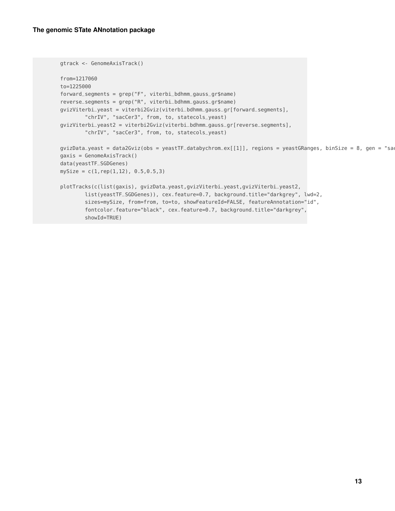```
gtrack <- GenomeAxisTrack()
from=1217060
to=1225000
forward_segments = grep("F", viterbi_bdhmm_gauss_gr$name)
reverse_segments = grep("R", viterbi_bdhmm_gauss_gr$name)
gvizViterbi_yeast = viterbi2Gviz(viterbi_bdhmm_gauss_gr[forward_segments],
        "chrIV", "sacCer3", from, to, statecols_yeast)
gvizViterbi_yeast2 = viterbi2Gviz(viterbi_bdhmm_gauss_gr[reverse_segments],
        "chrIV", "sacCer3", from, to, statecols_yeast)
gvizData_yeast = data2Gviz(obs = yeastTF_databychrom_ex[[1]], regions = yeastGRanges, binSize = 8, gen = "sa
gaxis = GenomeAxisTrack()
data(yeastTF_SGDGenes)
mySize = c(1, rep(1, 12), 0.5, 0.5, 3)plotTracks(c(list(gaxis), gvizData_yeast,gvizViterbi_yeast,gvizViterbi_yeast2,
        list(yeastTF_SGDGenes)), cex.feature=0.7, background.title="darkgrey", lwd=2,
        sizes=mySize, from=from, to=to, showFeatureId=FALSE, featureAnnotation="id",
        fontcolor.feature="black", cex.feature=0.7, background.title="darkgrey",
        showId=TRUE)
```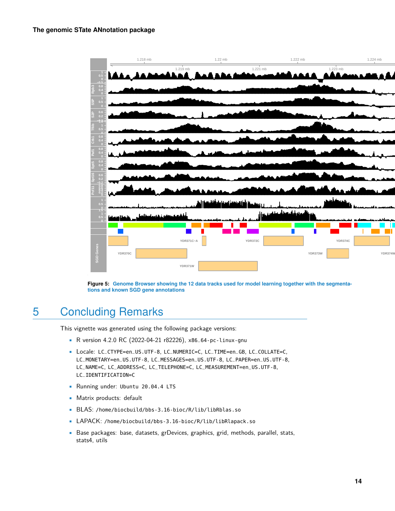<span id="page-13-1"></span>

**Figure 5: Genome Browser showing the 12 data tracks used for model learning together with the segmentations and known SGD gene annotations**

# 5 Concluding Remarks

<span id="page-13-0"></span>This vignette was generated using the following package versions:

- R version 4.2.0 RC (2022-04-21 r82226), x86\_64-pc-linux-gnu
- Locale: LC\_CTYPE=en\_US.UTF-8, LC\_NUMERIC=C, LC\_TIME=en\_GB, LC\_COLLATE=C, LC\_MONETARY=en\_US.UTF-8, LC\_MESSAGES=en\_US.UTF-8, LC\_PAPER=en\_US.UTF-8, LC\_NAME=C, LC\_ADDRESS=C, LC\_TELEPHONE=C, LC\_MEASUREMENT=en\_US.UTF-8, LC\_IDENTIFICATION=C
- Running under: Ubuntu 20.04.4 LTS
- Matrix products: default
- BLAS: /home/biocbuild/bbs-3.16-bioc/R/lib/libRblas.so
- LAPACK: /home/biocbuild/bbs-3.16-bioc/R/lib/libRlapack.so
- Base packages: base, datasets, grDevices, graphics, grid, methods, parallel, stats, stats4, utils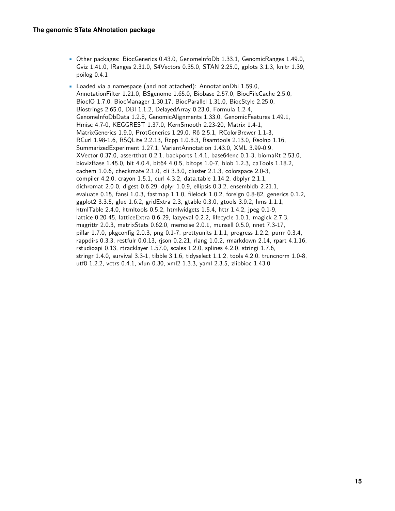- Other packages: BiocGenerics 0.43.0, GenomeInfoDb 1.33.1, GenomicRanges 1.49.0, Gviz 1.41.0, IRanges 2.31.0, S4Vectors 0.35.0, STAN 2.25.0, gplots 3.1.3, knitr 1.39, poilog 0.4.1
- Loaded via a namespace (and not attached): AnnotationDbi 1.59.0, AnnotationFilter 1.21.0, BSgenome 1.65.0, Biobase 2.57.0, BiocFileCache 2.5.0, BiocIO 1.7.0, BiocManager 1.30.17, BiocParallel 1.31.0, BiocStyle 2.25.0, Biostrings 2.65.0, DBI 1.1.2, DelayedArray 0.23.0, Formula 1.2-4, GenomeInfoDbData 1.2.8, GenomicAlignments 1.33.0, GenomicFeatures 1.49.1, Hmisc 4.7-0, KEGGREST 1.37.0, KernSmooth 2.23-20, Matrix 1.4-1, MatrixGenerics 1.9.0, ProtGenerics 1.29.0, R6 2.5.1, RColorBrewer 1.1-3, RCurl 1.98-1.6, RSQLite 2.2.13, Rcpp 1.0.8.3, Rsamtools 2.13.0, Rsolnp 1.16, SummarizedExperiment 1.27.1, VariantAnnotation 1.43.0, XML 3.99-0.9, XVector 0.37.0, assertthat 0.2.1, backports 1.4.1, base64enc 0.1-3, biomaRt 2.53.0, biovizBase 1.45.0, bit 4.0.4, bit64 4.0.5, bitops 1.0-7, blob 1.2.3, caTools 1.18.2, cachem 1.0.6, checkmate 2.1.0, cli 3.3.0, cluster 2.1.3, colorspace 2.0-3, compiler 4.2.0, crayon 1.5.1, curl 4.3.2, data.table 1.14.2, dbplyr 2.1.1, dichromat 2.0-0, digest 0.6.29, dplyr 1.0.9, ellipsis 0.3.2, ensembldb 2.21.1, evaluate 0.15, fansi 1.0.3, fastmap 1.1.0, filelock 1.0.2, foreign 0.8-82, generics 0.1.2, ggplot2 3.3.5, glue 1.6.2, gridExtra 2.3, gtable 0.3.0, gtools 3.9.2, hms 1.1.1, htmlTable 2.4.0, htmltools 0.5.2, htmlwidgets 1.5.4, httr 1.4.2, jpeg 0.1-9, lattice 0.20-45, latticeExtra 0.6-29, lazyeval 0.2.2, lifecycle 1.0.1, magick 2.7.3, magrittr 2.0.3, matrixStats 0.62.0, memoise 2.0.1, munsell 0.5.0, nnet 7.3-17, pillar 1.7.0, pkgconfig 2.0.3, png 0.1-7, prettyunits 1.1.1, progress 1.2.2, purrr 0.3.4, rappdirs 0.3.3, restfulr 0.0.13, rjson 0.2.21, rlang 1.0.2, rmarkdown 2.14, rpart 4.1.16, rstudioapi 0.13, rtracklayer 1.57.0, scales 1.2.0, splines 4.2.0, stringi 1.7.6, stringr 1.4.0, survival 3.3-1, tibble 3.1.6, tidyselect 1.1.2, tools 4.2.0, truncnorm 1.0-8, utf8 1.2.2, vctrs 0.4.1, xfun 0.30, xml2 1.3.3, yaml 2.3.5, zlibbioc 1.43.0